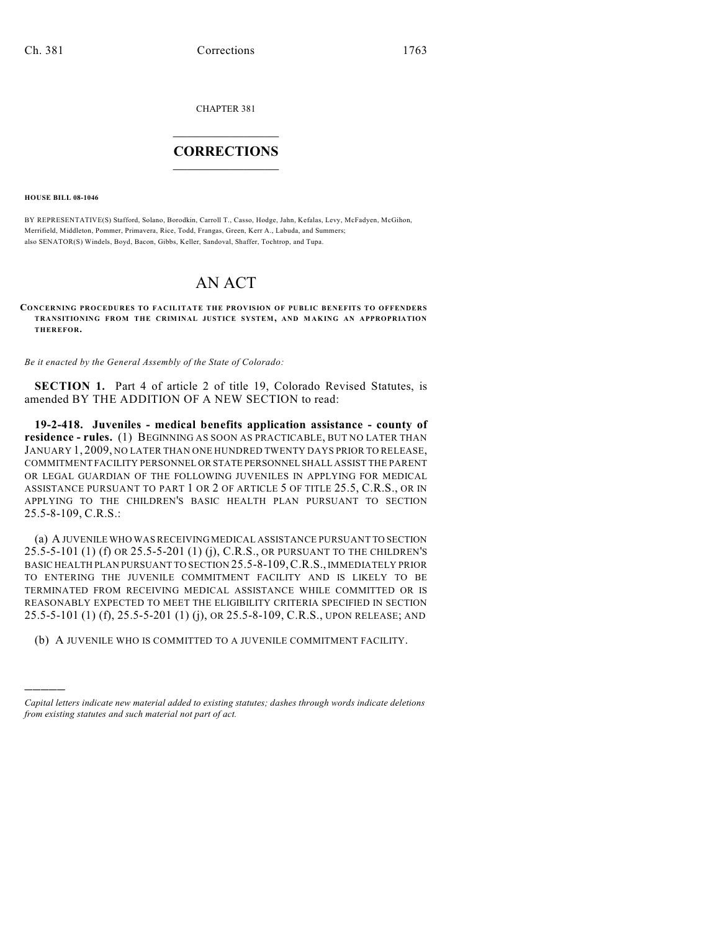CHAPTER 381

## $\overline{\phantom{a}}$  . The set of the set of the set of the set of the set of the set of the set of the set of the set of the set of the set of the set of the set of the set of the set of the set of the set of the set of the set o **CORRECTIONS**  $\frac{1}{2}$  ,  $\frac{1}{2}$  ,  $\frac{1}{2}$  ,  $\frac{1}{2}$  ,  $\frac{1}{2}$  ,  $\frac{1}{2}$

**HOUSE BILL 08-1046**

)))))

BY REPRESENTATIVE(S) Stafford, Solano, Borodkin, Carroll T., Casso, Hodge, Jahn, Kefalas, Levy, McFadyen, McGihon, Merrifield, Middleton, Pommer, Primavera, Rice, Todd, Frangas, Green, Kerr A., Labuda, and Summers; also SENATOR(S) Windels, Boyd, Bacon, Gibbs, Keller, Sandoval, Shaffer, Tochtrop, and Tupa.

## AN ACT

**CONCERNING PROCEDURES TO FACILITATE THE PROVISION OF PUBLIC BENEFITS TO OFFENDERS TRANSITIONING FROM THE CRIMINAL JUSTICE SYSTEM, AND M AKING AN APPROPRIATION THEREFOR.**

*Be it enacted by the General Assembly of the State of Colorado:*

**SECTION 1.** Part 4 of article 2 of title 19, Colorado Revised Statutes, is amended BY THE ADDITION OF A NEW SECTION to read:

**19-2-418. Juveniles - medical benefits application assistance - county of residence - rules.** (1) BEGINNING AS SOON AS PRACTICABLE, BUT NO LATER THAN JANUARY 1, 2009, NO LATER THAN ONE HUNDRED TWENTY DAYS PRIOR TO RELEASE, COMMITMENT FACILITY PERSONNEL OR STATE PERSONNEL SHALL ASSIST THE PARENT OR LEGAL GUARDIAN OF THE FOLLOWING JUVENILES IN APPLYING FOR MEDICAL ASSISTANCE PURSUANT TO PART 1 OR 2 OF ARTICLE 5 OF TITLE 25.5, C.R.S., OR IN APPLYING TO THE CHILDREN'S BASIC HEALTH PLAN PURSUANT TO SECTION 25.5-8-109, C.R.S.:

(a) A JUVENILE WHO WAS RECEIVING MEDICAL ASSISTANCE PURSUANT TO SECTION 25.5-5-101 (1) (f) OR 25.5-5-201 (1) (j), C.R.S., OR PURSUANT TO THE CHILDREN'S BASIC HEALTH PLAN PURSUANT TO SECTION 25.5-8-109,C.R.S., IMMEDIATELY PRIOR TO ENTERING THE JUVENILE COMMITMENT FACILITY AND IS LIKELY TO BE TERMINATED FROM RECEIVING MEDICAL ASSISTANCE WHILE COMMITTED OR IS REASONABLY EXPECTED TO MEET THE ELIGIBILITY CRITERIA SPECIFIED IN SECTION 25.5-5-101 (1) (f), 25.5-5-201 (1) (j), OR 25.5-8-109, C.R.S., UPON RELEASE; AND

(b) A JUVENILE WHO IS COMMITTED TO A JUVENILE COMMITMENT FACILITY.

*Capital letters indicate new material added to existing statutes; dashes through words indicate deletions from existing statutes and such material not part of act.*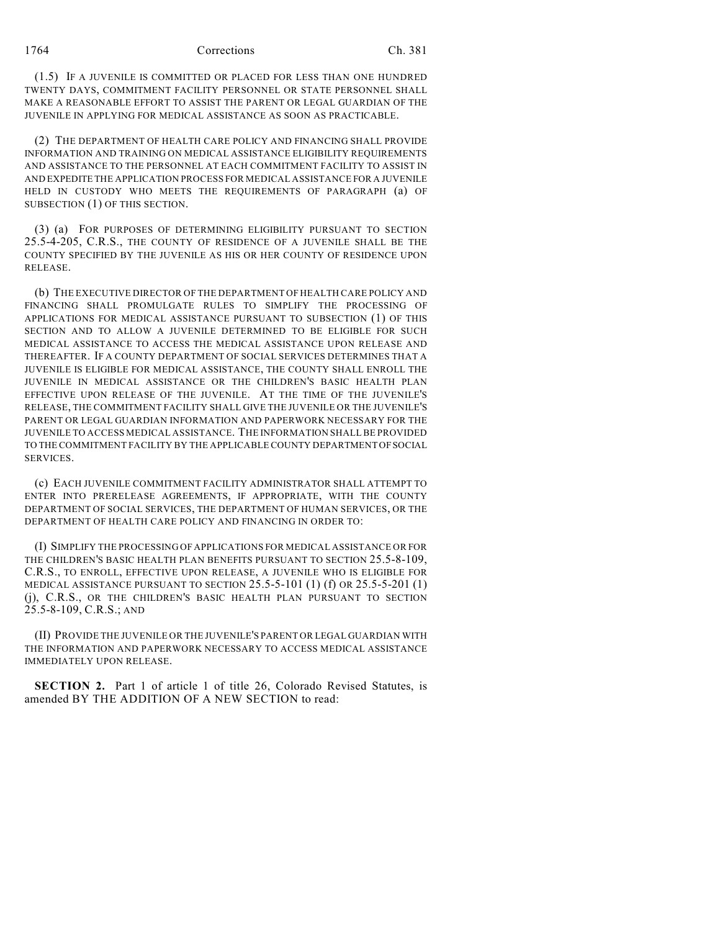(1.5) IF A JUVENILE IS COMMITTED OR PLACED FOR LESS THAN ONE HUNDRED TWENTY DAYS, COMMITMENT FACILITY PERSONNEL OR STATE PERSONNEL SHALL MAKE A REASONABLE EFFORT TO ASSIST THE PARENT OR LEGAL GUARDIAN OF THE JUVENILE IN APPLYING FOR MEDICAL ASSISTANCE AS SOON AS PRACTICABLE.

(2) THE DEPARTMENT OF HEALTH CARE POLICY AND FINANCING SHALL PROVIDE INFORMATION AND TRAINING ON MEDICAL ASSISTANCE ELIGIBILITY REQUIREMENTS AND ASSISTANCE TO THE PERSONNEL AT EACH COMMITMENT FACILITY TO ASSIST IN AND EXPEDITE THE APPLICATION PROCESS FOR MEDICAL ASSISTANCE FOR A JUVENILE HELD IN CUSTODY WHO MEETS THE REQUIREMENTS OF PARAGRAPH (a) OF SUBSECTION (1) OF THIS SECTION.

(3) (a) FOR PURPOSES OF DETERMINING ELIGIBILITY PURSUANT TO SECTION 25.5-4-205, C.R.S., THE COUNTY OF RESIDENCE OF A JUVENILE SHALL BE THE COUNTY SPECIFIED BY THE JUVENILE AS HIS OR HER COUNTY OF RESIDENCE UPON RELEASE.

(b) THE EXECUTIVE DIRECTOR OF THE DEPARTMENT OF HEALTH CARE POLICY AND FINANCING SHALL PROMULGATE RULES TO SIMPLIFY THE PROCESSING OF APPLICATIONS FOR MEDICAL ASSISTANCE PURSUANT TO SUBSECTION (1) OF THIS SECTION AND TO ALLOW A JUVENILE DETERMINED TO BE ELIGIBLE FOR SUCH MEDICAL ASSISTANCE TO ACCESS THE MEDICAL ASSISTANCE UPON RELEASE AND THEREAFTER. IF A COUNTY DEPARTMENT OF SOCIAL SERVICES DETERMINES THAT A JUVENILE IS ELIGIBLE FOR MEDICAL ASSISTANCE, THE COUNTY SHALL ENROLL THE JUVENILE IN MEDICAL ASSISTANCE OR THE CHILDREN'S BASIC HEALTH PLAN EFFECTIVE UPON RELEASE OF THE JUVENILE. AT THE TIME OF THE JUVENILE'S RELEASE, THE COMMITMENT FACILITY SHALL GIVE THE JUVENILE OR THE JUVENILE'S PARENT OR LEGAL GUARDIAN INFORMATION AND PAPERWORK NECESSARY FOR THE JUVENILE TO ACCESS MEDICAL ASSISTANCE. THE INFORMATION SHALL BE PROVIDED TO THE COMMITMENT FACILITY BY THE APPLICABLE COUNTY DEPARTMENT OF SOCIAL SERVICES.

(c) EACH JUVENILE COMMITMENT FACILITY ADMINISTRATOR SHALL ATTEMPT TO ENTER INTO PRERELEASE AGREEMENTS, IF APPROPRIATE, WITH THE COUNTY DEPARTMENT OF SOCIAL SERVICES, THE DEPARTMENT OF HUMAN SERVICES, OR THE DEPARTMENT OF HEALTH CARE POLICY AND FINANCING IN ORDER TO:

(I) SIMPLIFY THE PROCESSING OF APPLICATIONS FOR MEDICAL ASSISTANCE OR FOR THE CHILDREN'S BASIC HEALTH PLAN BENEFITS PURSUANT TO SECTION 25.5-8-109, C.R.S., TO ENROLL, EFFECTIVE UPON RELEASE, A JUVENILE WHO IS ELIGIBLE FOR MEDICAL ASSISTANCE PURSUANT TO SECTION 25.5-5-101 (1) (f) OR 25.5-5-201 (1) (j), C.R.S., OR THE CHILDREN'S BASIC HEALTH PLAN PURSUANT TO SECTION 25.5-8-109, C.R.S.; AND

(II) PROVIDE THE JUVENILE OR THE JUVENILE'S PARENT OR LEGAL GUARDIAN WITH THE INFORMATION AND PAPERWORK NECESSARY TO ACCESS MEDICAL ASSISTANCE IMMEDIATELY UPON RELEASE.

**SECTION 2.** Part 1 of article 1 of title 26, Colorado Revised Statutes, is amended BY THE ADDITION OF A NEW SECTION to read: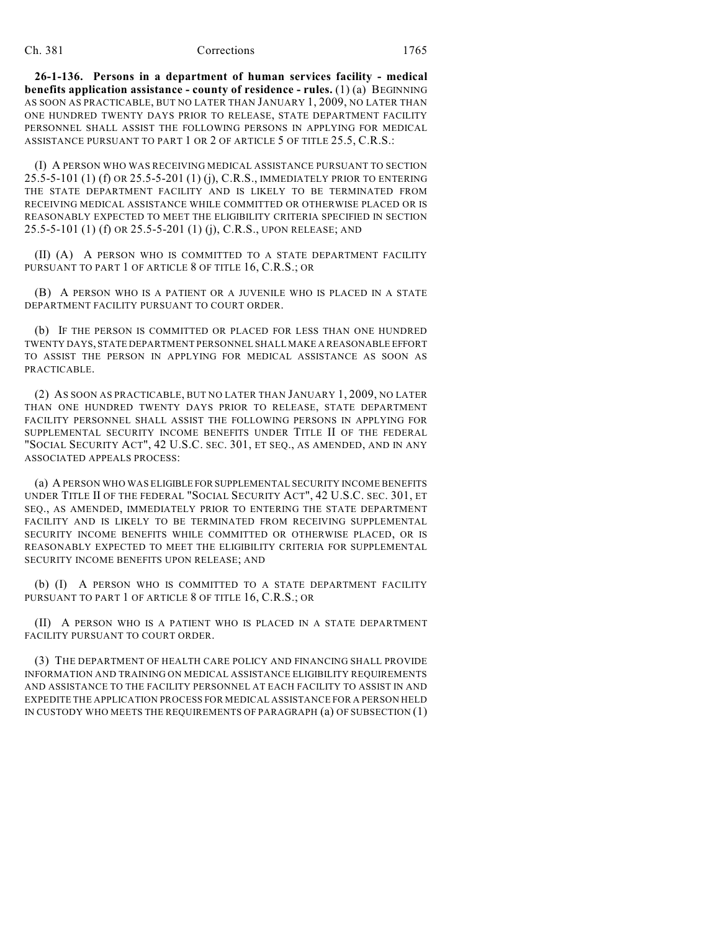## Ch. 381 Corrections 1765

**26-1-136. Persons in a department of human services facility - medical benefits application assistance - county of residence - rules.** (1) (a) BEGINNING AS SOON AS PRACTICABLE, BUT NO LATER THAN JANUARY 1, 2009, NO LATER THAN ONE HUNDRED TWENTY DAYS PRIOR TO RELEASE, STATE DEPARTMENT FACILITY PERSONNEL SHALL ASSIST THE FOLLOWING PERSONS IN APPLYING FOR MEDICAL ASSISTANCE PURSUANT TO PART 1 OR 2 OF ARTICLE 5 OF TITLE 25.5, C.R.S.:

(I) A PERSON WHO WAS RECEIVING MEDICAL ASSISTANCE PURSUANT TO SECTION 25.5-5-101 (1) (f) OR 25.5-5-201 (1) (j), C.R.S., IMMEDIATELY PRIOR TO ENTERING THE STATE DEPARTMENT FACILITY AND IS LIKELY TO BE TERMINATED FROM RECEIVING MEDICAL ASSISTANCE WHILE COMMITTED OR OTHERWISE PLACED OR IS REASONABLY EXPECTED TO MEET THE ELIGIBILITY CRITERIA SPECIFIED IN SECTION 25.5-5-101 (1) (f) OR 25.5-5-201 (1) (j), C.R.S., UPON RELEASE; AND

(II) (A) A PERSON WHO IS COMMITTED TO A STATE DEPARTMENT FACILITY PURSUANT TO PART 1 OF ARTICLE 8 OF TITLE 16, C.R.S.; OR

(B) A PERSON WHO IS A PATIENT OR A JUVENILE WHO IS PLACED IN A STATE DEPARTMENT FACILITY PURSUANT TO COURT ORDER.

(b) IF THE PERSON IS COMMITTED OR PLACED FOR LESS THAN ONE HUNDRED TWENTY DAYS, STATE DEPARTMENT PERSONNEL SHALL MAKE A REASONABLE EFFORT TO ASSIST THE PERSON IN APPLYING FOR MEDICAL ASSISTANCE AS SOON AS PRACTICABLE.

(2) AS SOON AS PRACTICABLE, BUT NO LATER THAN JANUARY 1, 2009, NO LATER THAN ONE HUNDRED TWENTY DAYS PRIOR TO RELEASE, STATE DEPARTMENT FACILITY PERSONNEL SHALL ASSIST THE FOLLOWING PERSONS IN APPLYING FOR SUPPLEMENTAL SECURITY INCOME BENEFITS UNDER TITLE II OF THE FEDERAL "SOCIAL SECURITY ACT", 42 U.S.C. SEC. 301, ET SEQ., AS AMENDED, AND IN ANY ASSOCIATED APPEALS PROCESS:

(a) A PERSON WHO WAS ELIGIBLE FOR SUPPLEMENTAL SECURITY INCOME BENEFITS UNDER TITLE II OF THE FEDERAL "SOCIAL SECURITY ACT", 42 U.S.C. SEC. 301, ET SEQ., AS AMENDED, IMMEDIATELY PRIOR TO ENTERING THE STATE DEPARTMENT FACILITY AND IS LIKELY TO BE TERMINATED FROM RECEIVING SUPPLEMENTAL SECURITY INCOME BENEFITS WHILE COMMITTED OR OTHERWISE PLACED, OR IS REASONABLY EXPECTED TO MEET THE ELIGIBILITY CRITERIA FOR SUPPLEMENTAL SECURITY INCOME BENEFITS UPON RELEASE; AND

(b) (I) A PERSON WHO IS COMMITTED TO A STATE DEPARTMENT FACILITY PURSUANT TO PART 1 OF ARTICLE 8 OF TITLE 16, C.R.S.; OR

(II) A PERSON WHO IS A PATIENT WHO IS PLACED IN A STATE DEPARTMENT FACILITY PURSUANT TO COURT ORDER.

(3) THE DEPARTMENT OF HEALTH CARE POLICY AND FINANCING SHALL PROVIDE INFORMATION AND TRAINING ON MEDICAL ASSISTANCE ELIGIBILITY REQUIREMENTS AND ASSISTANCE TO THE FACILITY PERSONNEL AT EACH FACILITY TO ASSIST IN AND EXPEDITE THE APPLICATION PROCESS FOR MEDICAL ASSISTANCE FOR A PERSON HELD IN CUSTODY WHO MEETS THE REQUIREMENTS OF PARAGRAPH (a) OF SUBSECTION (1)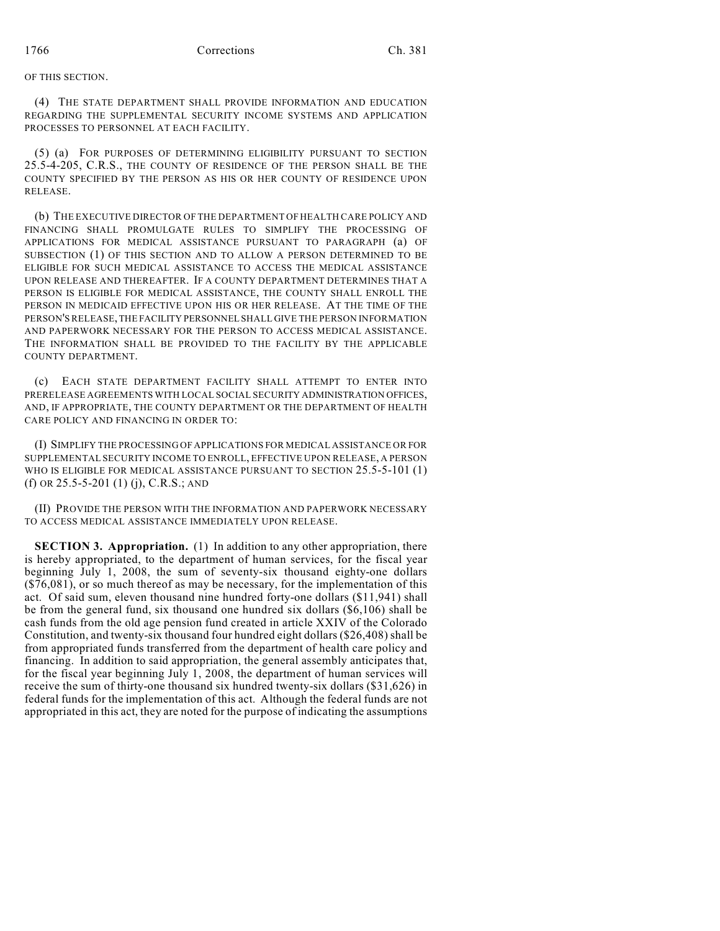OF THIS SECTION.

(4) THE STATE DEPARTMENT SHALL PROVIDE INFORMATION AND EDUCATION REGARDING THE SUPPLEMENTAL SECURITY INCOME SYSTEMS AND APPLICATION PROCESSES TO PERSONNEL AT EACH FACILITY.

(5) (a) FOR PURPOSES OF DETERMINING ELIGIBILITY PURSUANT TO SECTION 25.5-4-205, C.R.S., THE COUNTY OF RESIDENCE OF THE PERSON SHALL BE THE COUNTY SPECIFIED BY THE PERSON AS HIS OR HER COUNTY OF RESIDENCE UPON RELEASE.

(b) THE EXECUTIVE DIRECTOR OF THE DEPARTMENT OF HEALTH CARE POLICY AND FINANCING SHALL PROMULGATE RULES TO SIMPLIFY THE PROCESSING OF APPLICATIONS FOR MEDICAL ASSISTANCE PURSUANT TO PARAGRAPH (a) OF SUBSECTION (1) OF THIS SECTION AND TO ALLOW A PERSON DETERMINED TO BE ELIGIBLE FOR SUCH MEDICAL ASSISTANCE TO ACCESS THE MEDICAL ASSISTANCE UPON RELEASE AND THEREAFTER. IF A COUNTY DEPARTMENT DETERMINES THAT A PERSON IS ELIGIBLE FOR MEDICAL ASSISTANCE, THE COUNTY SHALL ENROLL THE PERSON IN MEDICAID EFFECTIVE UPON HIS OR HER RELEASE. AT THE TIME OF THE PERSON'S RELEASE, THE FACILITY PERSONNEL SHALL GIVE THE PERSON INFORMATION AND PAPERWORK NECESSARY FOR THE PERSON TO ACCESS MEDICAL ASSISTANCE. THE INFORMATION SHALL BE PROVIDED TO THE FACILITY BY THE APPLICABLE COUNTY DEPARTMENT.

(c) EACH STATE DEPARTMENT FACILITY SHALL ATTEMPT TO ENTER INTO PRERELEASE AGREEMENTS WITH LOCAL SOCIAL SECURITY ADMINISTRATION OFFICES, AND, IF APPROPRIATE, THE COUNTY DEPARTMENT OR THE DEPARTMENT OF HEALTH CARE POLICY AND FINANCING IN ORDER TO:

(I) SIMPLIFY THE PROCESSING OF APPLICATIONS FOR MEDICAL ASSISTANCE OR FOR SUPPLEMENTAL SECURITY INCOME TO ENROLL, EFFECTIVE UPON RELEASE, A PERSON WHO IS ELIGIBLE FOR MEDICAL ASSISTANCE PURSUANT TO SECTION 25.5-5-101 (1) (f) OR 25.5-5-201 (1) (j), C.R.S.; AND

(II) PROVIDE THE PERSON WITH THE INFORMATION AND PAPERWORK NECESSARY TO ACCESS MEDICAL ASSISTANCE IMMEDIATELY UPON RELEASE.

**SECTION 3. Appropriation.** (1) In addition to any other appropriation, there is hereby appropriated, to the department of human services, for the fiscal year beginning July 1, 2008, the sum of seventy-six thousand eighty-one dollars  $($76,081)$ , or so much thereof as may be necessary, for the implementation of this act. Of said sum, eleven thousand nine hundred forty-one dollars (\$11,941) shall be from the general fund, six thousand one hundred six dollars (\$6,106) shall be cash funds from the old age pension fund created in article XXIV of the Colorado Constitution, and twenty-six thousand four hundred eight dollars (\$26,408) shall be from appropriated funds transferred from the department of health care policy and financing. In addition to said appropriation, the general assembly anticipates that, for the fiscal year beginning July 1, 2008, the department of human services will receive the sum of thirty-one thousand six hundred twenty-six dollars (\$31,626) in federal funds for the implementation of this act. Although the federal funds are not appropriated in this act, they are noted for the purpose of indicating the assumptions